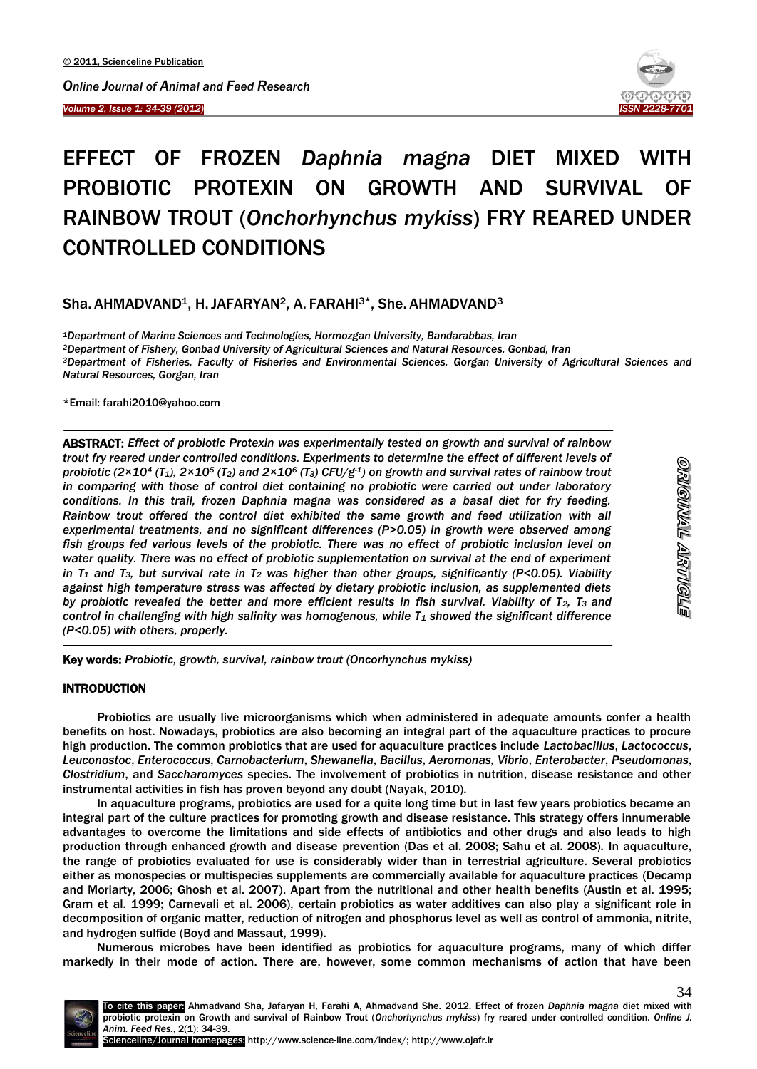*Volume 2, Issue 1: 34-39 (2012)*  Ī



# EFFECT OF FROZEN *Daphnia magna* DIET MIXED WITH PROBIOTIC PROTEXIN ON GROWTH AND SURVIVAL OF RAINBOW TROUT (*Onchorhynchus mykiss*) FRY REARED UNDER CONTROLLED CONDITIONS

Sha. AHMADVAND<sup>1</sup>, H. JAFARYAN<sup>2</sup>, A. FARAHI<sup>3\*</sup>, She. AHMADVAND<sup>3</sup>

*Department of Marine Sciences and Technologies, Hormozgan University, Bandarabbas, Iran Department of Fishery, Gonbad University of Agricultural Sciences and Natural Resources, Gonbad, Iran Department of Fisheries, Faculty of Fisheries and Environmental Sciences, Gorgan University of Agricultural Sciences and Natural Resources, Gorgan, Iran*

\*Email: farahi2010@yahoo.com

 $\overline{a}$ 

ABSTRACT: *Effect of probiotic Protexin was experimentally tested on growth and survival of rainbow trout fry reared under controlled conditions. Experiments to determine the effect of different levels of probiotic (2×10<sup>4</sup> (T1), 2×10<sup>5</sup> (T2) and 2×10<sup>6</sup> (T3) CFU/g-1) on growth and survival rates of rainbow trout in comparing with those of control diet containing no probiotic were carried out under laboratory conditions. In this trail, frozen Daphnia magna was considered as a basal diet for fry feeding. Rainbow trout offered the control diet exhibited the same growth and feed utilization with all experimental treatments, and no significant differences (P>0.05) in growth were observed among fish groups fed various levels of the probiotic. There was no effect of probiotic inclusion level on water quality. There was no effect of probiotic supplementation on survival at the end of experiment in T<sup>1</sup> and T3, but survival rate in T<sup>2</sup> was higher than other groups, significantly (P<0.05). Viability against high temperature stress was affected by dietary probiotic inclusion, as supplemented diets by probiotic revealed the better and more efficient results in fish survival. Viability of T2, T3 and control in challenging with high salinity was homogenous, while T<sup>1</sup> showed the significant difference (P<0.05) with others, properly.*

-Key words: *Probiotic, growth, survival, rainbow trout (Oncorhynchus mykiss)*

# **INTRODUCTION**

Probiotics are usually live microorganisms which when administered in adequate amounts confer a health benefits on host. Nowadays, probiotics are also becoming an integral part of the aquaculture practices to procure high production. The common probiotics that are used for aquaculture practices include *Lactobacillus*, *Lactococcus*, *Leuconostoc*, *Enterococcus*, *Carnobacterium*, *Shewanella*, *Bacillus*, *Aeromonas, Vibrio*, *Enterobacter*, *Pseudomonas*, *Clostridium*, and *Saccharomyces* species. The involvement of probiotics in nutrition, disease resistance and other instrumental activities in fish has proven beyond any doubt (Nayak, 2010).

In aquaculture programs, probiotics are used for a quite long time but in last few years probiotics became an integral part of the culture practices for promoting growth and disease resistance. This strategy offers innumerable advantages to overcome the limitations and side effects of antibiotics and other drugs and also leads to high production through enhanced growth and disease prevention (Das et al. 2008; Sahu et al. 2008). In aquaculture, the range of probiotics evaluated for use is considerably wider than in terrestrial agriculture. Several probiotics either as monospecies or multispecies supplements are commercially available for aquaculture practices (Decamp and Moriarty, 2006; Ghosh et al. 2007). Apart from the nutritional and other health benefits (Austin et al. 1995; Gram et al. 1999; Carnevali et al. 2006), certain probiotics as water additives can also play a significant role in decomposition of organic matter, reduction of nitrogen and phosphorus level as well as control of ammonia, nitrite, and hydrogen sulfide (Boyd and Massaut, 1999).

Numerous microbes have been identified as probiotics for aquaculture programs, many of which differ markedly in their mode of action. There are, however, some common mechanisms of action that have been

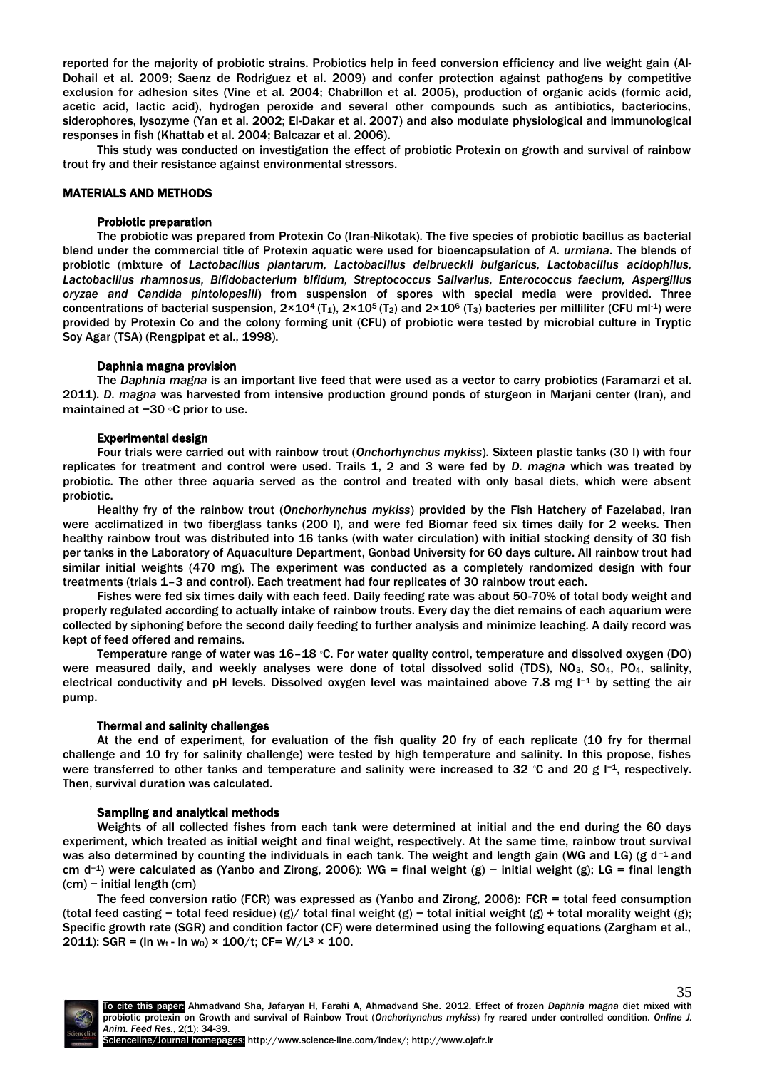reported for the majority of probiotic strains. Probiotics help in feed conversion efficiency and live weight gain (Al-Dohail et al. 2009; Saenz de Rodriguez et al. 2009) and confer protection against pathogens by competitive exclusion for adhesion sites (Vine et al. 2004; Chabrillon et al. 2005), production of organic acids (formic acid, acetic acid, lactic acid), hydrogen peroxide and several other compounds such as antibiotics, bacteriocins, siderophores, lysozyme (Yan et al. 2002; El-Dakar et al. 2007) and also modulate physiological and immunological responses in fish (Khattab et al. 2004; Balcazar et al. 2006).

This study was conducted on investigation the effect of probiotic Protexin on growth and survival of rainbow trout fry and their resistance against environmental stressors.

# MATERIALS AND METHODS

# Probiotic preparation

The probiotic was prepared from Protexin Co (Iran-Nikotak). The five species of probiotic bacillus as bacterial blend under the commercial title of Protexin aquatic were used for bioencapsulation of *A. urmiana*. The blends of probiotic (mixture of *Lactobacillus plantarum, Lactobacillus delbrueckii bulgaricus, Lactobacillus acidophilus, Lactobacillus rhamnosus, Bifidobacterium bifidum, Streptococcus Salivarius, Enterococcus faecium, Aspergillus oryzae and Candida pintolopesill*) from suspension of spores with special media were provided. Three concentrations of bacterial suspension,  $2\times10^4$  (T<sub>1</sub>),  $2\times10^5$  (T<sub>2</sub>) and  $2\times10^6$  (T<sub>3</sub>) bacteries per milliliter (CFU ml<sup>-1</sup>) were provided by Protexin Co and the colony forming unit (CFU) of probiotic were tested by microbial culture in Tryptic Soy Agar (TSA) (Rengpipat et al., 1998).

# Daphnia magna provision

The *Daphnia magna* is an important live feed that were used as a vector to carry probiotics (Faramarzi et al. 2011). *D. magna* was harvested from intensive production ground ponds of sturgeon in Marjani center (Iran), and maintained at −30 ◦C prior to use.

# Experimental design

Four trials were carried out with rainbow trout (*Onchorhynchus mykiss*). Sixteen plastic tanks (30 l) with four replicates for treatment and control were used. Trails 1, 2 and 3 were fed by *D. magna* which was treated by probiotic. The other three aquaria served as the control and treated with only basal diets, which were absent probiotic.

Healthy fry of the rainbow trout (*Onchorhynchus mykiss*) provided by the Fish Hatchery of Fazelabad, Iran were acclimatized in two fiberglass tanks (200 l), and were fed Biomar feed six times daily for 2 weeks. Then healthy rainbow trout was distributed into 16 tanks (with water circulation) with initial stocking density of 30 fish per tanks in the Laboratory of Aquaculture Department, Gonbad University for 60 days culture. All rainbow trout had similar initial weights (470 mg). The experiment was conducted as a completely randomized design with four treatments (trials 1–3 and control). Each treatment had four replicates of 30 rainbow trout each.

Fishes were fed six times daily with each feed. Daily feeding rate was about 50-70% of total body weight and properly regulated according to actually intake of rainbow trouts. Every day the diet remains of each aquarium were collected by siphoning before the second daily feeding to further analysis and minimize leaching. A daily record was kept of feed offered and remains.

Temperature range of water was 16–18 ◦C. For water quality control, temperature and dissolved oxygen (DO) were measured daily, and weekly analyses were done of total dissolved solid (TDS), NO<sub>3</sub>, SO<sub>4</sub>, PO<sub>4</sub>, salinity, electrical conductivity and pH levels. Dissolved oxygen level was maintained above 7.8 mg l−<sup>1</sup> by setting the air pump.

# Thermal and salinity challenges

At the end of experiment, for evaluation of the fish quality 20 fry of each replicate (10 fry for thermal challenge and10 fry for salinity challenge) were tested by high temperature and salinity. In this propose, fishes were transferred to other tanks and temperature and salinity were increased to 32 ℃ and 20 g l<sup>-1</sup>, respectively. Then, survival duration was calculated.

# Sampling and analytical methods

Weights of all collected fishes from each tank were determined at initial and the end during the 60 days experiment, which treated as initial weight and final weight, respectively. At the same time, rainbow trout survival was also determined by counting the individuals in each tank. The weight and length gain (WG and LG) (g d<sup>-1</sup> and cm d<sup>-1</sup>) were calculated as (Yanbo and Zirong, 2006): WG = final weight (g) − initial weight (g); LG = final length (cm) − initial length (cm)

The feed conversion ratio (FCR) was expressed as (Yanbo and Zirong, 2006): FCR = total feed consumption (total feed casting − total feed residue) (g)/ total final weight (g) − total initial weight (g) + total morality weight (g); Specific growth rate (SGR) and condition factor (CF) were determined using the following equations (Zargham et al., 2011): SGR = (ln w<sub>t</sub> - ln w<sub>0</sub>) × 100/t; CF= W/L<sup>3</sup> × 100.



35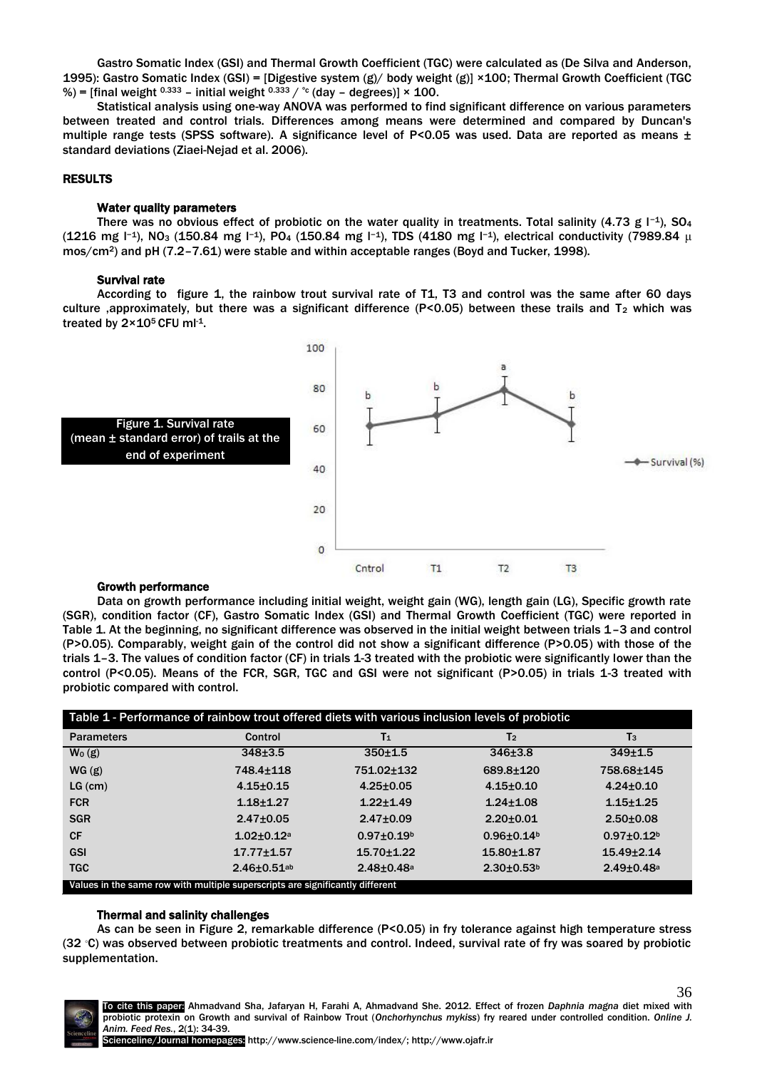Gastro Somatic Index (GSI) and Thermal Growth Coefficient (TGC) were calculated as (De Silva and Anderson, 1995): Gastro Somatic Index (GSI) = [Digestive system (g)/ body weight (g)] ×100; Thermal Growth Coefficient (TGC %) = [final weight  $0.333$  – initial weight  $0.333 / C$  (day – degrees)]  $\times$  100.

Statistical analysis using one-way ANOVA was performed to find significant difference on various parameters between treated and control trials. Differences among means were determined and compared by Duncan's multiple range tests (SPSS software). A significance level of P<0.05 was used. Data are reported as means  $\pm$ standard deviations (Ziaei-Nejad et al. 2006).

#### RESULTS

#### Water quality parameters

There was no obvious effect of probiotic on the water quality in treatments. Total salinity (4.73 g l<sup>-1</sup>), SO<sub>4</sub> (1216 mg l−1), NO<sub>3</sub> (150.84 mg l−1), PO<sub>4</sub> (150.84 mg l−1), TDS (4180 mg l<sup>−1</sup>), electrical conductivity (7989.84 μ mos/cm<sup>2</sup>) and pH (7.2-7.61) were stable and within acceptable ranges (Boyd and Tucker, 1998).

#### Survival rate

According to figure 1, the rainbow trout survival rate of T1, T3 and control was the same after 60 days culture ,approximately, but there was a significant difference (P<0.05) between these trails and T<sup>2</sup> which was treated by  $2 \times 10^5$  CFU ml<sup>-1</sup>.



#### Growth performance

Data on growth performance including initial weight, weight gain (WG), length gain (LG), Specific growth rate (SGR), condition factor (CF), Gastro Somatic Index (GSI) and Thermal Growth Coefficient (TGC) were reported in Table 1. At the beginning, no significant difference was observed in the initial weight between trials 1–3 and control (P>0.05). Comparably, weight gain of the control did not show a significant difference (P>0.05) with those of the trials 1–3. The values of condition factor (CF) in trials 1-3 treated with the probiotic were significantly lower than the control (P<0.05). Means of the FCR, SGR, TGC and GSI were not significant (P>0.05) in trials 1-3 treated with probiotic compared with control.

| Table 1 - Performance of rainbow trout offered diets with various inclusion levels of probiotic |                            |                            |                              |                              |
|-------------------------------------------------------------------------------------------------|----------------------------|----------------------------|------------------------------|------------------------------|
| <b>Parameters</b>                                                                               | Control                    | T <sub>1</sub>             | T <sub>2</sub>               | $T_3$                        |
| $W_0$ (g)                                                                                       | $348 + 3.5$                | $350 + 1.5$                | $346 \pm 3.8$                | 349±1.5                      |
| WG(g)                                                                                           | 748.4±118                  | 751.02±132                 | 689.8±120                    | 758.68±145                   |
| $LG$ (cm)                                                                                       | $4.15 + 0.15$              | $4.25 \pm 0.05$            | $4.15 + 0.10$                | $4.24 \pm 0.10$              |
| <b>FCR</b>                                                                                      | $1.18 + 1.27$              | $1.22 + 1.49$              | $1.24 + 1.08$                | $1.15 + 1.25$                |
| <b>SGR</b>                                                                                      | $2.47 \pm 0.05$            | $2.47 \pm 0.09$            | $2.20 + 0.01$                | $2.50 + 0.08$                |
| <b>CF</b>                                                                                       | $1.02 + 0.12$ <sup>a</sup> | $0.97 + 0.19b$             | $0.96 + 0.14$ <sup>b</sup>   | $0.97 \pm 0.12$ <sup>b</sup> |
| <b>GSI</b>                                                                                      | $17.77 \pm 1.57$           | $15.70 + 1.22$             | $15.80 \pm 1.87$             | $15.49 + 2.14$               |
| <b>TGC</b>                                                                                      | $2.46 \pm 0.51$ ab         | $2.48 + 0.48$ <sup>a</sup> | $2.30 \pm 0.53$ <sup>b</sup> | $2.49 \pm 0.48$ <sup>a</sup> |
| Values in the same row with multiple superscripts are significantly different                   |                            |                            |                              |                              |

#### Thermal and salinity challenges

As can be seen in Figure 2, remarkable difference (P<0.05) in fry tolerance against high temperature stress (32 ◦C) was observed between probiotic treatments and control. Indeed, survival rate of fry was soared by probiotic supplementation.



36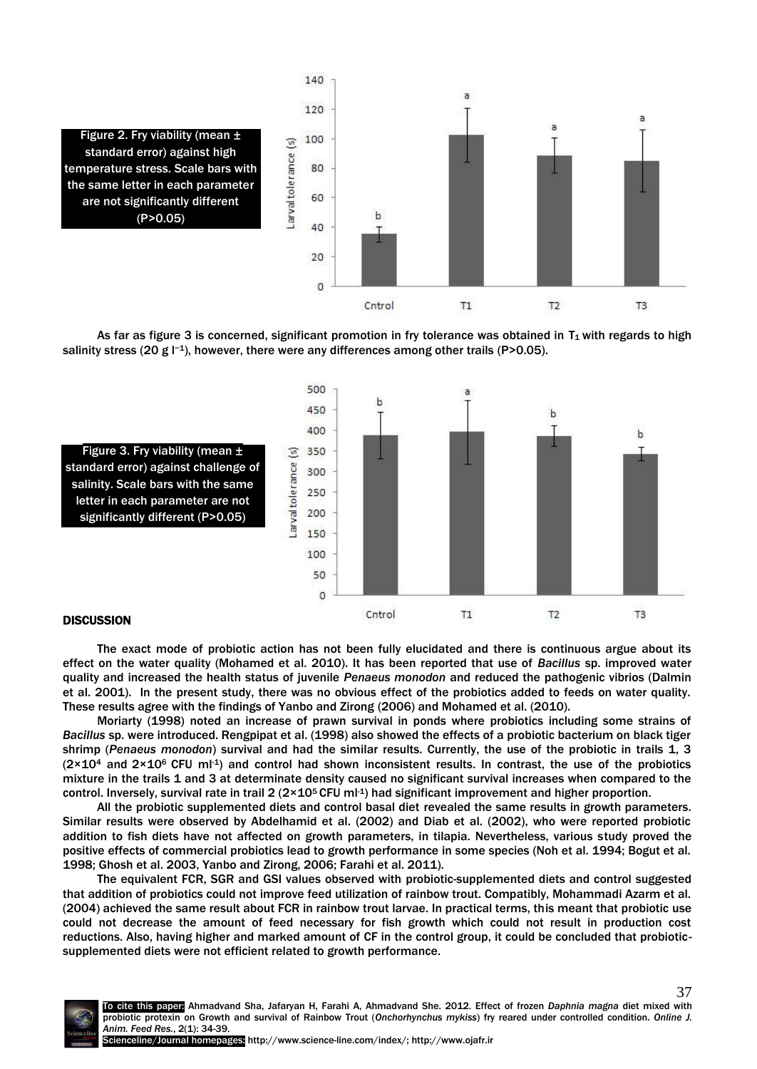





# **DISCUSSION**

The exact mode of probiotic action has not been fully elucidated and there is continuous argue about its effect on the water quality (Mohamed et al. 2010). It has been reported that use of *Bacillus* sp. improved water quality and increased the health status of juvenile *Penaeus monodon* and reduced the pathogenic vibrios (Dalmin et al. 2001). In the present study, there was no obvious effect of the probiotics added to feeds on water quality. These results agree with the findings of Yanbo and Zirong (2006) and Mohamed et al. (2010).

Moriarty (1998) noted an increase of prawn survival in ponds where probiotics including some strains of *Bacillus* sp. were introduced. Rengpipat et al. (1998) also showed the effects of a probiotic bacterium on black tiger shrimp (*Penaeus monodon*) survival and had the similar results. Currently, the use of the probiotic in trails 1, 3  $(2\times10^4$  and  $2\times10^6$  CFU ml<sup>-1</sup>) and control had shown inconsistent results. In contrast, the use of the probiotics mixture in the trails 1 and 3 at determinate density caused no significant survival increases when compared to the control. Inversely, survival rate in trail 2 ( $2 \times 10^5$  CFU ml-1) had significant improvement and higher proportion.

All the probiotic supplemented diets and control basal diet revealed the same results in growth parameters. Similar results were observed by Abdelhamid et al. (2002) and Diab et al. (2002), who were reported probiotic addition to fish diets have not affected on growth parameters, in tilapia. Nevertheless, various study proved the positive effects of commercial probiotics lead to growth performance in some species (Noh et al. 1994; Bogut et al. 1998; Ghosh et al. 2003, Yanbo and Zirong, 2006; Farahi et al. 2011).

The equivalent FCR, SGR and GSI values observed with probiotic-supplemented diets and control suggested that addition of probiotics could not improve feed utilization of rainbow trout. Compatibly, Mohammadi Azarm et al. (2004) achieved the same result about FCR in rainbow trout larvae. In practical terms, this meant that probiotic use could not decrease the amount of feed necessary for fish growth which could not result in production cost reductions. Also, having higher and marked amount of CF in the control group, it could be concluded that probioticsupplemented diets were not efficient related to growth performance.

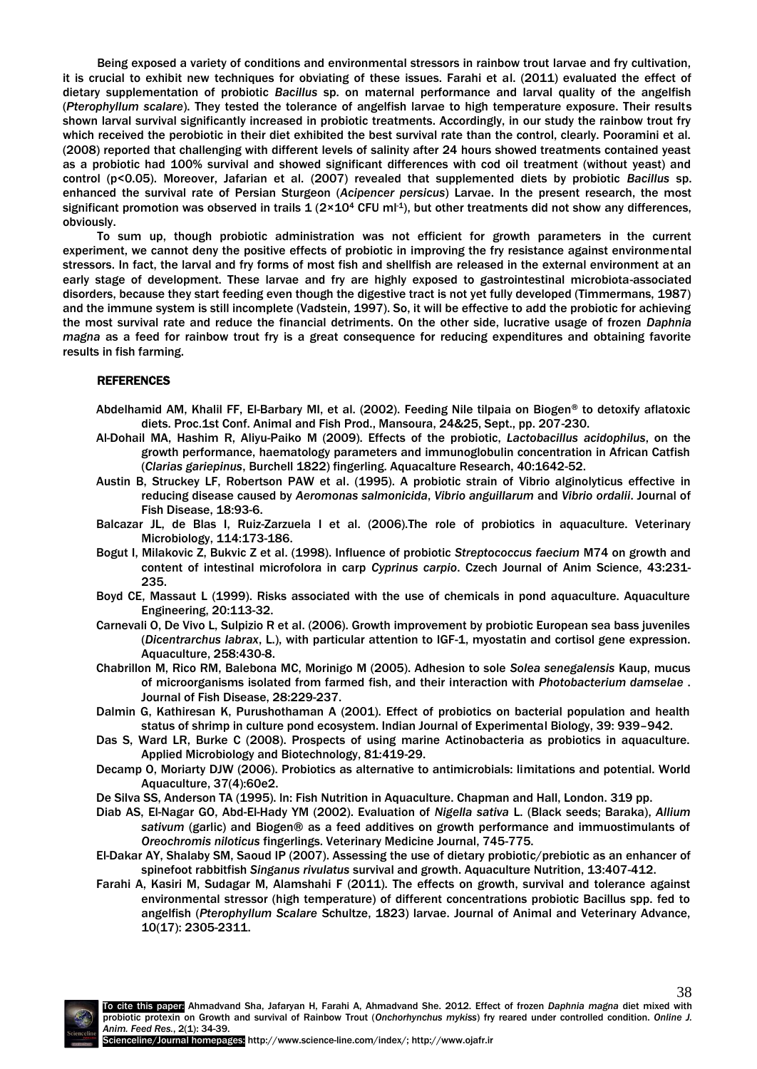Being exposed a variety of conditions and environmental stressors in rainbow trout larvae and fry cultivation, it is crucial to exhibit new techniques for obviating of these issues. Farahi et al. (2011) evaluated the effect of dietary supplementation of probiotic *Bacillus* sp. on maternal performance and larval quality of the angelfish (*Pterophyllum scalare*). They tested the tolerance of angelfish larvae to high temperature exposure. Their results shown larval survival significantly increased in probiotic treatments. Accordingly, in our study the rainbow trout fry which received the perobiotic in their diet exhibited the best survival rate than the control, clearly. Pooramini et al. (2008) reported that challenging with different levels of salinity after 24 hours showed treatments contained yeast as a probiotic had 100% survival and showed significant differences with cod oil treatment (without yeast) and control (p<0.05). Moreover, Jafarian et al. (2007) revealed that supplemented diets by probiotic *Bacillus* sp. enhanced the survival rate of Persian Sturgeon (*Acipencer persicus*) Larvae. In the present research, the most significant promotion was observed in trails  $1(2 \times 10^4 \text{ CFU ml-1})$ , but other treatments did not show any differences, obviously.

To sum up, though probiotic administration was not efficient for growth parameters in the current experiment, we cannot deny the positive effects of probiotic in improving the fry resistance against environmental stressors. In fact, the larval and fry forms of most fish and shellfish are released in the external environment at an early stage of development. These larvae and fry are highly exposed to gastrointestinal microbiota-associated disorders, because they start feeding even though the digestive tract is not yet fully developed (Timmermans, 1987) and the immune system is still incomplete (Vadstein, 1997). So, it will be effective to add the probiotic for achieving the most survival rate and reduce the financial detriments. On the other side, lucrative usage of frozen *Daphnia magna* as a feed for rainbow trout fry is a great consequence for reducing expenditures and obtaining favorite results in fish farming.

# REFERENCES

- Abdelhamid AM, Khalil FF, El-Barbary MI, et al. (2002). Feeding Nile tilpaia on Biogen® to detoxify aflatoxic diets. Proc.1st Conf. Animal and Fish Prod., Mansoura, 24&25, Sept., pp. 207-230.
- Al-Dohail MA, Hashim R, Aliyu-Paiko M (2009). Effects of the probiotic, *Lactobacillus acidophilus*, on the growth performance, haematology parameters and immunoglobulin concentration in African Catfish (*Clarias gariepinus*, Burchell 1822) fingerling. Aquacalture Research, 40:1642-52.
- Austin B, Struckey LF, Robertson PAW et al. (1995). A probiotic strain of Vibrio alginolyticus effective in reducing disease caused by *Aeromonas salmonicida*, *Vibrio anguillarum* and *Vibrio ordalii*. Journal of Fish Disease, 18:93-6.
- Balcazar JL, de Blas I, Ruiz-Zarzuela I et al. (2006).The role of probiotics in aquaculture. Veterinary Microbiology, 114:173-186.
- Bogut I, Milakovic Z, Bukvic Z et al. (1998). Influence of probiotic *Streptococcus faecium* M74 on growth and content of intestinal microfolora in carp *Cyprinus carpio*. Czech Journal of Anim Science, 43:231- 235.
- Boyd CE, Massaut L (1999). Risks associated with the use of chemicals in pond aquaculture. Aquaculture Engineering, 20:113-32.
- Carnevali O, De Vivo L, Sulpizio R et al. (2006). Growth improvement by probiotic European sea bass juveniles (*Dicentrarchus labrax*, L.), with particular attention to IGF-1, myostatin and cortisol gene expression. Aquaculture, 258:430-8.
- Chabrillon M, Rico RM, Balebona MC, Morinigo M (2005). Adhesion to sole *Solea senegalensis* Kaup, mucus of microorganisms isolated from farmed fish, and their interaction with *Photobacterium damselae* . Journal of Fish Disease, 28:229-237.
- Dalmin G, Kathiresan K, Purushothaman A (2001). Effect of probiotics on bacterial population and health status of shrimp in culture pond ecosystem. Indian Journal of Experimental Biology, 39: 939–942.
- Das S, Ward LR, Burke C (2008). Prospects of using marine Actinobacteria as probiotics in aquaculture. Applied Microbiology and Biotechnology, 81:419-29.
- Decamp O, Moriarty DJW (2006). Probiotics as alternative to antimicrobials: limitations and potential. World Aquaculture, 37(4):60e2.
- De Silva SS, Anderson TA (1995). ln: Fish Nutrition in Aquaculture. Chapman and Hall, London. 319 pp.
- Diab AS, El-Nagar GO, Abd-El-Hady YM (2002). Evaluation of *Nigella sativa* L. (Black seeds; Baraka), *Allium sativum* (garlic) and Biogen® as a feed additives on growth performance and immuostimulants of *Oreochromis niloticus* fingerlings. Veterinary Medicine Journal, 745-775.
- El-Dakar AY, Shalaby SM, Saoud IP (2007). Assessing the use of dietary probiotic/prebiotic as an enhancer of spinefoot rabbitfish *Singanus rivulatus* survival and growth. Aquaculture Nutrition, 13:407-412.
- Farahi A, Kasiri M, Sudagar M, Alamshahi F (2011). The effects on growth, survival and tolerance against environmental stressor (high temperature) of different concentrations probiotic Bacillus spp. fed to angelfish (*Pterophyllum Scalare* Schultze, 1823) larvae. Journal of Animal and Veterinary Advance, 10(17): 2305-2311.